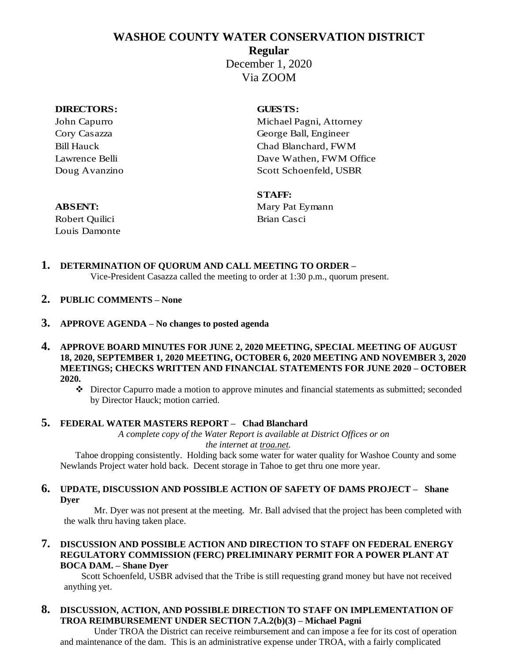## **WASHOE COUNTY WATER CONSERVATION DISTRICT**

**Regular**

December 1, 2020 Via ZOOM

| <b>DIRECTORS:</b> | <b>GUESTS:</b>          |
|-------------------|-------------------------|
| John Capurro      | Michael Pagni, Attorney |
| Cory Casazza      | George Ball, Engineer   |
| <b>Bill Hauck</b> | Chad Blanchard, FWM     |
| Lawrence Belli    | Dave Wathen, FWM Office |
| Doug Avanzino     | Scott Schoenfeld, USBR  |
|                   |                         |

**STAFF: ABSENT:** Mary Pat Eymann

Robert Quilici Brian Casci Louis Damonte

- **1. DETERMINATION OF QUORUM AND CALL MEETING TO ORDER –** Vice-President Casazza called the meeting to order at 1:30 p.m., quorum present.
- **2. PUBLIC COMMENTS – None**
- **3. APPROVE AGENDA – No changes to posted agenda**
- **4. APPROVE BOARD MINUTES FOR JUNE 2, 2020 MEETING, SPECIAL MEETING OF AUGUST 18, 2020, SEPTEMBER 1, 2020 MEETING, OCTOBER 6, 2020 MEETING AND NOVEMBER 3, 2020 MEETINGS; CHECKS WRITTEN AND FINANCIAL STATEMENTS FOR JUNE 2020 – OCTOBER 2020.**
	- ❖ Director Capurro made a motion to approve minutes and financial statements as submitted; seconded by Director Hauck; motion carried.

## **5. FEDERAL WATER MASTERS REPORT – Chad Blanchard**

*A complete copy of the Water Report is available at District Offices or on* 

*the internet at troa.net.*

Tahoe dropping consistently. Holding back some water for water quality for Washoe County and some Newlands Project water hold back. Decent storage in Tahoe to get thru one more year.

**6. UPDATE, DISCUSSION AND POSSIBLE ACTION OF SAFETY OF DAMS PROJECT – Shane Dyer**

Mr. Dyer was not present at the meeting. Mr. Ball advised that the project has been completed with the walk thru having taken place.

**7. DISCUSSION AND POSSIBLE ACTION AND DIRECTION TO STAFF ON FEDERAL ENERGY REGULATORY COMMISSION (FERC) PRELIMINARY PERMIT FOR A POWER PLANT AT BOCA DAM. – Shane Dyer**

Scott Schoenfeld, USBR advised that the Tribe is still requesting grand money but have not received anything yet.

**8. DISCUSSION, ACTION, AND POSSIBLE DIRECTION TO STAFF ON IMPLEMENTATION OF TROA REIMBURSEMENT UNDER SECTION 7.A.2(b)(3) – Michael Pagni**

Under TROA the District can receive reimbursement and can impose a fee for its cost of operation and maintenance of the dam. This is an administrative expense under TROA, with a fairly complicated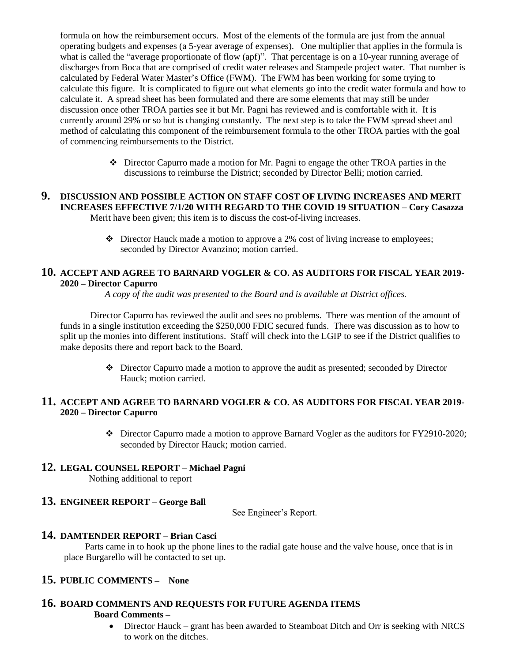formula on how the reimbursement occurs. Most of the elements of the formula are just from the annual operating budgets and expenses (a 5-year average of expenses). One multiplier that applies in the formula is what is called the "average proportionate of flow (apf)". That percentage is on a 10-year running average of discharges from Boca that are comprised of credit water releases and Stampede project water. That number is calculated by Federal Water Master's Office (FWM). The FWM has been working for some trying to calculate this figure. It is complicated to figure out what elements go into the credit water formula and how to calculate it. A spread sheet has been formulated and there are some elements that may still be under discussion once other TROA parties see it but Mr. Pagni has reviewed and is comfortable with it. It is currently around 29% or so but is changing constantly. The next step is to take the FWM spread sheet and method of calculating this component of the reimbursement formula to the other TROA parties with the goal of commencing reimbursements to the District.

> ❖ Director Capurro made a motion for Mr. Pagni to engage the other TROA parties in the discussions to reimburse the District; seconded by Director Belli; motion carried.

#### **9. DISCUSSION AND POSSIBLE ACTION ON STAFF COST OF LIVING INCREASES AND MERIT INCREASES EFFECTIVE 7/1/20 WITH REGARD TO THE COVID 19 SITUATION – Cory Casazza** Merit have been given; this item is to discuss the cost-of-living increases.

❖ Director Hauck made a motion to approve a 2% cost of living increase to employees; seconded by Director Avanzino; motion carried.

### **10. ACCEPT AND AGREE TO BARNARD VOGLER & CO. AS AUDITORS FOR FISCAL YEAR 2019- 2020 – Director Capurro**

*A copy of the audit was presented to the Board and is available at District offices.*

Director Capurro has reviewed the audit and sees no problems. There was mention of the amount of funds in a single institution exceeding the \$250,000 FDIC secured funds. There was discussion as to how to split up the monies into different institutions. Staff will check into the LGIP to see if the District qualifies to make deposits there and report back to the Board.

> ❖ Director Capurro made a motion to approve the audit as presented; seconded by Director Hauck; motion carried.

### **11. ACCEPT AND AGREE TO BARNARD VOGLER & CO. AS AUDITORS FOR FISCAL YEAR 2019- 2020 – Director Capurro**

❖ Director Capurro made a motion to approve Barnard Vogler as the auditors for FY2910-2020; seconded by Director Hauck; motion carried.

#### **12. LEGAL COUNSEL REPORT – Michael Pagni** Nothing additional to report

## **13. ENGINEER REPORT – George Ball**

See Engineer's Report.

### **14. DAMTENDER REPORT – Brian Casci**

Parts came in to hook up the phone lines to the radial gate house and the valve house, once that is in place Burgarello will be contacted to set up.

# **15. PUBLIC COMMENTS – None**

#### **16. BOARD COMMENTS AND REQUESTS FOR FUTURE AGENDA ITEMS Board Comments –**

• Director Hauck – grant has been awarded to Steamboat Ditch and Orr is seeking with NRCS to work on the ditches.